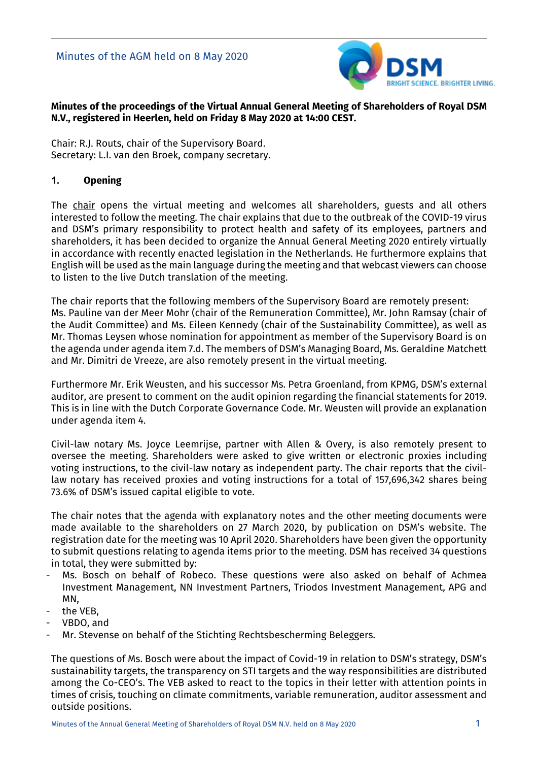

## **Minutes of the proceedings of the Virtual Annual General Meeting of Shareholders of Royal DSM N.V., registered in Heerlen, held on Friday 8 May 2020 at 14:00 CEST.**

Chair: R.J. Routs, chair of the Supervisory Board. Secretary: L.I. van den Broek, company secretary.

## **1. Opening**

The chair opens the virtual meeting and welcomes all shareholders, guests and all others interested to follow the meeting. The chair explains that due to the outbreak of the COVID-19 virus and DSM's primary responsibility to protect health and safety of its employees, partners and shareholders, it has been decided to organize the Annual General Meeting 2020 entirely virtually in accordance with recently enacted legislation in the Netherlands. He furthermore explains that English will be used as the main language during the meeting and that webcast viewers can choose to listen to the live Dutch translation of the meeting.

The chair reports that the following members of the Supervisory Board are remotely present: Ms. Pauline van der Meer Mohr (chair of the Remuneration Committee), Mr. John Ramsay (chair of the Audit Committee) and Ms. Eileen Kennedy (chair of the Sustainability Committee), as well as Mr. Thomas Leysen whose nomination for appointment as member of the Supervisory Board is on the agenda under agenda item 7.d. The members of DSM's Managing Board, Ms. Geraldine Matchett and Mr. Dimitri de Vreeze, are also remotely present in the virtual meeting.

Furthermore Mr. Erik Weusten, and his successor Ms. Petra Groenland, from KPMG, DSM's external auditor, are present to comment on the audit opinion regarding the financial statements for 2019. This is in line with the Dutch Corporate Governance Code. Mr. Weusten will provide an explanation under agenda item 4.

Civil-law notary Ms. Joyce Leemrijse, partner with Allen & Overy, is also remotely present to oversee the meeting. Shareholders were asked to give written or electronic proxies including voting instructions, to the civil-law notary as independent party. The chair reports that the civillaw notary has received proxies and voting instructions for a total of 157,696,342 shares being 73.6% of DSM's issued capital eligible to vote.

The chair notes that the agenda with explanatory notes and the other meeting documents were made available to the shareholders on 27 March 2020, by publication on DSM's website. The registration date for the meeting was 10 April 2020. Shareholders have been given the opportunity to submit questions relating to agenda items prior to the meeting. DSM has received 34 questions in total, they were submitted by:

- Ms. Bosch on behalf of Robeco. These questions were also asked on behalf of Achmea Investment Management, NN Investment Partners, Triodos Investment Management, APG and MN,
- the VEB.
- VBDO, and
- Mr. Stevense on behalf of the Stichting Rechtsbescherming Beleggers.

The questions of Ms. Bosch were about the impact of Covid-19 in relation to DSM's strategy, DSM's sustainability targets, the transparency on STI targets and the way responsibilities are distributed among the Co-CEO's. The VEB asked to react to the topics in their letter with attention points in times of crisis, touching on climate commitments, variable remuneration, auditor assessment and outside positions.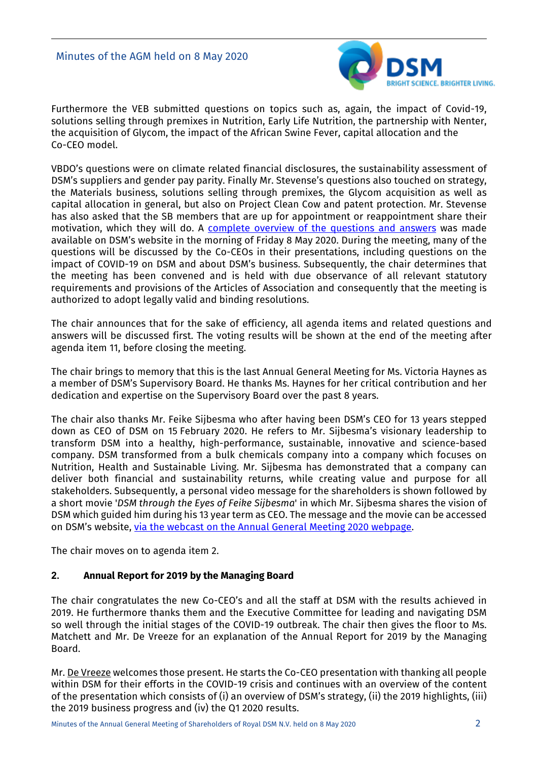

Furthermore the VEB submitted questions on topics such as, again, the impact of Covid-19, solutions selling through premixes in Nutrition, Early Life Nutrition, the partnership with Nenter, the acquisition of Glycom, the impact of the African Swine Fever, capital allocation and the Co-CEO model.

VBDO's questions were on climate related financial disclosures, the sustainability assessment of DSM's suppliers and gender pay parity. Finally Mr. Stevense's questions also touched on strategy, the Materials business, solutions selling through premixes, the Glycom acquisition as well as capital allocation in general, but also on Project Clean Cow and patent protection. Mr. Stevense has also asked that the SB members that are up for appointment or reappointment share their motivation, which they will do. A [complete overview of the questions and answers](https://www.dsm.com/content/dam/dsm/corporate/en_US/documents/annual-general-meeting-2020-questions-answers.pdf) was made available on DSM's website in the morning of Friday 8 May 2020. During the meeting, many of the questions will be discussed by the Co-CEOs in their presentations, including questions on the impact of COVID-19 on DSM and about DSM's business. Subsequently, the chair determines that the meeting has been convened and is held with due observance of all relevant statutory requirements and provisions of the Articles of Association and consequently that the meeting is authorized to adopt legally valid and binding resolutions.

The chair announces that for the sake of efficiency, all agenda items and related questions and answers will be discussed first. The voting results will be shown at the end of the meeting after agenda item 11, before closing the meeting.

The chair brings to memory that this is the last Annual General Meeting for Ms. Victoria Haynes as a member of DSM's Supervisory Board. He thanks Ms. Haynes for her critical contribution and her dedication and expertise on the Supervisory Board over the past 8 years.

The chair also thanks Mr. Feike Sijbesma who after having been DSM's CEO for 13 years stepped down as CEO of DSM on 15 February 2020. He refers to Mr. Sijbesma's visionary leadership to transform DSM into a healthy, high-performance, sustainable, innovative and science-based company. DSM transformed from a bulk chemicals company into a company which focuses on Nutrition, Health and Sustainable Living. Mr. Sijbesma has demonstrated that a company can deliver both financial and sustainability returns, while creating value and purpose for all stakeholders. Subsequently, a personal video message for the shareholders is shown followed by a short movie '*DSM through the Eyes of Feike Sijbesma*' in which Mr. Sijbesma shares the vision of DSM which guided him during his 13 year term as CEO. The message and the movie can be accessed on DSM's website, [via the webcast on the Annual General Meeting 2020 webpage.](https://www.dsm.com/corporate/about/corporate-governance/annual-general-meeting-2020.html)

The chair moves on to agenda item 2.

## **2. Annual Report for 2019 by the Managing Board**

The chair congratulates the new Co-CEO's and all the staff at DSM with the results achieved in 2019. He furthermore thanks them and the Executive Committee for leading and navigating DSM so well through the initial stages of the COVID-19 outbreak. The chair then gives the floor to Ms. Matchett and Mr. De Vreeze for an explanation of the Annual Report for 2019 by the Managing Board.

Mr. De Vreeze welcomes those present. He starts the Co-CEO presentation with thanking all people within DSM for their efforts in the COVID-19 crisis and continues with an overview of the content of the presentation which consists of (i) an overview of DSM's strategy, (ii) the 2019 highlights, (iii) the 2019 business progress and (iv) the Q1 2020 results.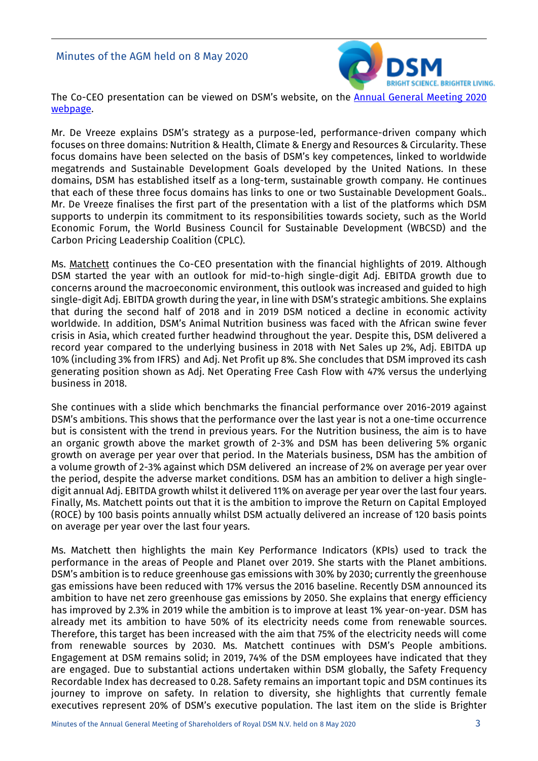

The Co-CEO presentation can be viewed on DSM's website, on the [Annual General Meeting 2020](https://www.dsm.com/corporate/about/corporate-governance/annual-general-meeting-2020.html)  [webpage.](https://www.dsm.com/corporate/about/corporate-governance/annual-general-meeting-2020.html)

Mr. De Vreeze explains DSM's strategy as a purpose-led, performance-driven company which focuses on three domains: Nutrition & Health, Climate & Energy and Resources & Circularity. These focus domains have been selected on the basis of DSM's key competences, linked to worldwide megatrends and Sustainable Development Goals developed by the United Nations. In these domains, DSM has established itself as a long-term, sustainable growth company. He continues that each of these three focus domains has links to one or two Sustainable Development Goals.. Mr. De Vreeze finalises the first part of the presentation with a list of the platforms which DSM supports to underpin its commitment to its responsibilities towards society, such as the World Economic Forum, the World Business Council for Sustainable Development (WBCSD) and the Carbon Pricing Leadership Coalition (CPLC).

Ms. Matchett continues the Co-CEO presentation with the financial highlights of 2019. Although DSM started the year with an outlook for mid-to-high single-digit Adj. EBITDA growth due to concerns around the macroeconomic environment, this outlook was increased and guided to high single-digit Adj. EBITDA growth during the year, in line with DSM's strategic ambitions. She explains that during the second half of 2018 and in 2019 DSM noticed a decline in economic activity worldwide. In addition, DSM's Animal Nutrition business was faced with the African swine fever crisis in Asia, which created further headwind throughout the year. Despite this, DSM delivered a record year compared to the underlying business in 2018 with Net Sales up 2%, Adj. EBITDA up 10% (including 3% from IFRS) and Adj. Net Profit up 8%. She concludes that DSM improved its cash generating position shown as Adj. Net Operating Free Cash Flow with 47% versus the underlying business in 2018.

She continues with a slide which benchmarks the financial performance over 2016-2019 against DSM's ambitions. This shows that the performance over the last year is not a one-time occurrence but is consistent with the trend in previous years. For the Nutrition business, the aim is to have an organic growth above the market growth of 2-3% and DSM has been delivering 5% organic growth on average per year over that period. In the Materials business, DSM has the ambition of a volume growth of 2-3% against which DSM delivered an increase of 2% on average per year over the period, despite the adverse market conditions. DSM has an ambition to deliver a high singledigit annual Adj. EBITDA growth whilst it delivered 11% on average per year over the last four years. Finally, Ms. Matchett points out that it is the ambition to improve the Return on Capital Employed (ROCE) by 100 basis points annually whilst DSM actually delivered an increase of 120 basis points on average per year over the last four years.

Ms. Matchett then highlights the main Key Performance Indicators (KPIs) used to track the performance in the areas of People and Planet over 2019. She starts with the Planet ambitions. DSM's ambition is to reduce greenhouse gas emissions with 30% by 2030; currently the greenhouse gas emissions have been reduced with 17% versus the 2016 baseline. Recently DSM announced its ambition to have net zero greenhouse gas emissions by 2050. She explains that energy efficiency has improved by 2.3% in 2019 while the ambition is to improve at least 1% year-on-year. DSM has already met its ambition to have 50% of its electricity needs come from renewable sources. Therefore, this target has been increased with the aim that 75% of the electricity needs will come from renewable sources by 2030. Ms. Matchett continues with DSM's People ambitions. Engagement at DSM remains solid; in 2019, 74% of the DSM employees have indicated that they are engaged. Due to substantial actions undertaken within DSM globally, the Safety Frequency Recordable Index has decreased to 0.28. Safety remains an important topic and DSM continues its journey to improve on safety. In relation to diversity, she highlights that currently female executives represent 20% of DSM's executive population. The last item on the slide is Brighter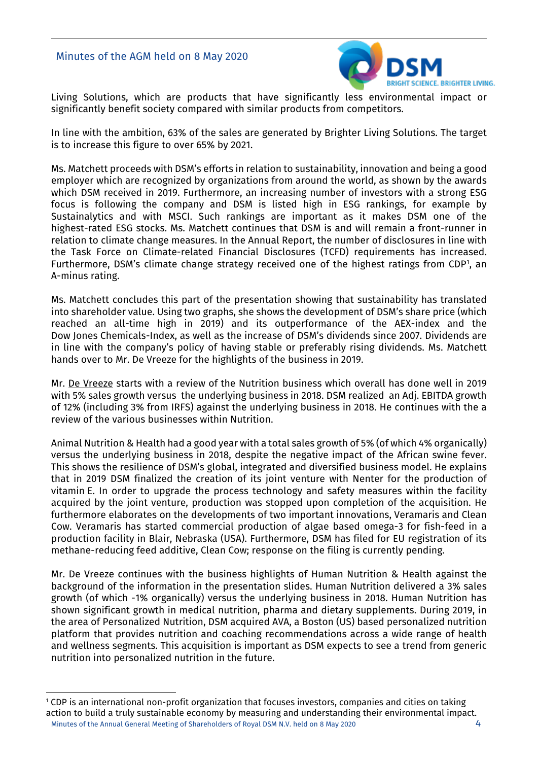

Living Solutions, which are products that have significantly less environmental impact or significantly benefit society compared with similar products from competitors.

In line with the ambition, 63% of the sales are generated by Brighter Living Solutions. The target is to increase this figure to over 65% by 2021.

Ms. Matchett proceeds with DSM's efforts in relation to sustainability, innovation and being a good employer which are recognized by organizations from around the world, as shown by the awards which DSM received in 2019. Furthermore, an increasing number of investors with a strong ESG focus is following the company and DSM is listed high in ESG rankings, for example by Sustainalytics and with MSCI. Such rankings are important as it makes DSM one of the highest-rated ESG stocks. Ms. Matchett continues that DSM is and will remain a front-runner in relation to climate change measures. In the Annual Report, the number of disclosures in line with the Task Force on Climate-related Financial Disclosures (TCFD) requirements has increased. Furthermore, DSM's climate change strategy received one of the highest ratings from CDP<sup>[1](#page-3-0)</sup>, an A-minus rating.

Ms. Matchett concludes this part of the presentation showing that sustainability has translated into shareholder value. Using two graphs, she shows the development of DSM's share price (which reached an all-time high in 2019) and its outperformance of the AEX-index and the Dow Jones Chemicals-Index, as well as the increase of DSM's dividends since 2007. Dividends are in line with the company's policy of having stable or preferably rising dividends. Ms. Matchett hands over to Mr. De Vreeze for the highlights of the business in 2019.

Mr. De Vreeze starts with a review of the Nutrition business which overall has done well in 2019 with 5% sales growth versus the underlying business in 2018. DSM realized an Adj. EBITDA growth of 12% (including 3% from IRFS) against the underlying business in 2018. He continues with the a review of the various businesses within Nutrition.

Animal Nutrition & Health had a good year with a total sales growth of 5% (of which 4% organically) versus the underlying business in 2018, despite the negative impact of the African swine fever. This shows the resilience of DSM's global, integrated and diversified business model. He explains that in 2019 DSM finalized the creation of its joint venture with Nenter for the production of vitamin E. In order to upgrade the process technology and safety measures within the facility acquired by the joint venture, production was stopped upon completion of the acquisition. He furthermore elaborates on the developments of two important innovations, Veramaris and Clean Cow. Veramaris has started commercial production of algae based omega-3 for fish-feed in a production facility in Blair, Nebraska (USA). Furthermore, DSM has filed for EU registration of its methane-reducing feed additive, Clean Cow; response on the filing is currently pending.

Mr. De Vreeze continues with the business highlights of Human Nutrition & Health against the background of the information in the presentation slides. Human Nutrition delivered a 3% sales growth (of which -1% organically) versus the underlying business in 2018. Human Nutrition has shown significant growth in medical nutrition, pharma and dietary supplements. During 2019, in the area of Personalized Nutrition, DSM acquired AVA, a Boston (US) based personalized nutrition platform that provides nutrition and coaching recommendations across a wide range of health and wellness segments. This acquisition is important as DSM expects to see a trend from generic nutrition into personalized nutrition in the future.

<span id="page-3-0"></span>Minutes of the Annual General Meeting of Shareholders of Royal DSM N.V. held on 8 May 2020 4 <sup>1</sup> CDP is an international non-profit organization that focuses investors, companies and cities on taking action to build a truly sustainable economy by measuring and understanding their environmental impact.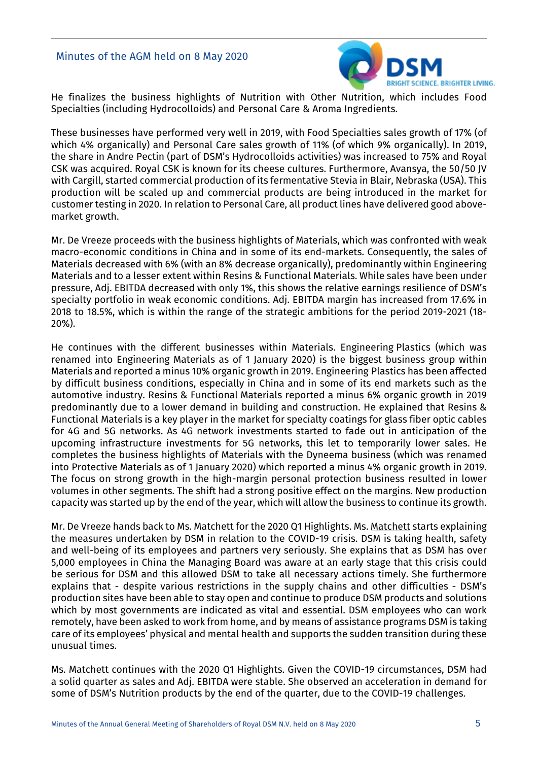

He finalizes the business highlights of Nutrition with Other Nutrition, which includes Food Specialties (including Hydrocolloids) and Personal Care & Aroma Ingredients.

These businesses have performed very well in 2019, with Food Specialties sales growth of 17% (of which 4% organically) and Personal Care sales growth of 11% (of which 9% organically). In 2019, the share in Andre Pectin (part of DSM's Hydrocolloids activities) was increased to 75% and Royal CSK was acquired. Royal CSK is known for its cheese cultures. Furthermore, Avansya, the 50/50 JV with Cargill, started commercial production of its fermentative Stevia in Blair, Nebraska (USA). This production will be scaled up and commercial products are being introduced in the market for customer testing in 2020. In relation to Personal Care, all product lines have delivered good abovemarket growth.

Mr. De Vreeze proceeds with the business highlights of Materials, which was confronted with weak macro-economic conditions in China and in some of its end-markets. Consequently, the sales of Materials decreased with 6% (with an 8% decrease organically), predominantly within Engineering Materials and to a lesser extent within Resins & Functional Materials. While sales have been under pressure, Adj. EBITDA decreased with only 1%, this shows the relative earnings resilience of DSM's specialty portfolio in weak economic conditions. Adj. EBITDA margin has increased from 17.6% in 2018 to 18.5%, which is within the range of the strategic ambitions for the period 2019-2021 (18- 20%).

He continues with the different businesses within Materials. Engineering Plastics (which was renamed into Engineering Materials as of 1 January 2020) is the biggest business group within Materials and reported a minus 10% organic growth in 2019. Engineering Plastics has been affected by difficult business conditions, especially in China and in some of its end markets such as the automotive industry. Resins & Functional Materials reported a minus 6% organic growth in 2019 predominantly due to a lower demand in building and construction. He explained that Resins & Functional Materials is a key player in the market for specialty coatings for glass fiber optic cables for 4G and 5G networks. As 4G network investments started to fade out in anticipation of the upcoming infrastructure investments for 5G networks, this let to temporarily lower sales. He completes the business highlights of Materials with the Dyneema business (which was renamed into Protective Materials as of 1 January 2020) which reported a minus 4% organic growth in 2019. The focus on strong growth in the high-margin personal protection business resulted in lower volumes in other segments. The shift had a strong positive effect on the margins. New production capacity was started up by the end of the year, which will allow the business to continue its growth.

Mr. De Vreeze hands back to Ms. Matchett for the 2020 Q1 Highlights. Ms. Matchett starts explaining the measures undertaken by DSM in relation to the COVID-19 crisis. DSM is taking health, safety and well-being of its employees and partners very seriously. She explains that as DSM has over 5,000 employees in China the Managing Board was aware at an early stage that this crisis could be serious for DSM and this allowed DSM to take all necessary actions timely. She furthermore explains that - despite various restrictions in the supply chains and other difficulties - DSM's production sites have been able to stay open and continue to produce DSM products and solutions which by most governments are indicated as vital and essential. DSM employees who can work remotely, have been asked to work from home, and by means of assistance programs DSM is taking care of its employees' physical and mental health and supports the sudden transition during these unusual times.

Ms. Matchett continues with the 2020 Q1 Highlights. Given the COVID-19 circumstances, DSM had a solid quarter as sales and Adj. EBITDA were stable. She observed an acceleration in demand for some of DSM's Nutrition products by the end of the quarter, due to the COVID-19 challenges.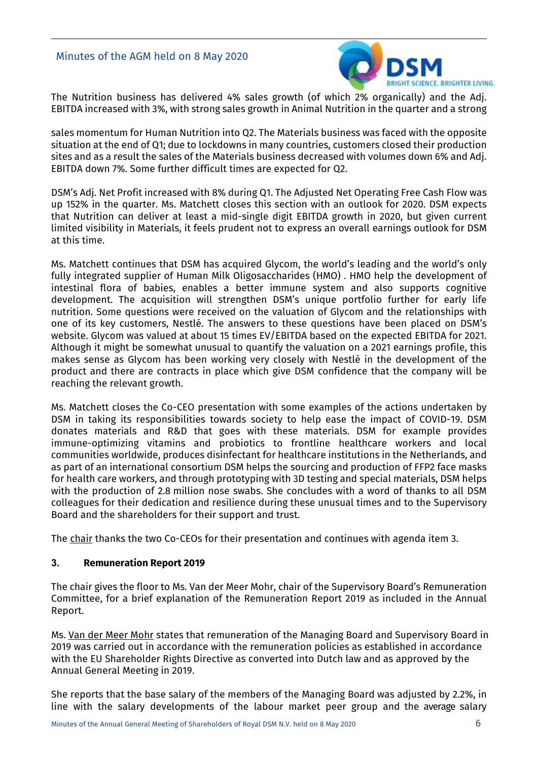

The Nutrition business has delivered 4% sales growth (of which 2% organically) and the Adj. EBITDA increased with 3%, with strong sales growth in Animal Nutrition in the quarter and a strong

sales momentum for Human Nutrition into Q2. The Materials business was faced with the opposite situation at the end of Q1; due to lockdowns in many countries, customers closed their production sites and as a result the sales of the Materials business decreased with volumes down 6% and Adj. EBITDA down 7%. Some further difficult times are expected for Q2.

DSM's Adj. Net Profit increased with 8% during Q1. The Adjusted Net Operating Free Cash Flow was up 152% in the quarter. Ms. Matchett closes this section with an outlook for 2020. DSM expects that Nutrition can deliver at least a mid-single digit EBITDA growth in 2020, but given current limited visibility in Materials, it feels prudent not to express an overall earnings outlook for DSM at this time.

Ms. Matchett continues that DSM has acquired Glycom, the world's leading and the world's only fully integrated supplier of Human Milk Oligosaccharides (HMO) . HMO help the development of intestinal flora of babies, enables a better immune system and also supports cognitive development. The acquisition will strengthen DSM's unique portfolio further for early life nutrition. Some questions were received on the valuation of Glycom and the relationships with one of its key customers, Nestlé. The answers to these questions have been placed on DSM's website. Glycom was valued at about 15 times EV/EBITDA based on the expected EBITDA for 2021. Although it might be somewhat unusual to quantify the valuation on a 2021 earnings profile, this makes sense as Glycom has been working very closely with Nestlé in the development of the product and there are contracts in place which give DSM confidence that the company will be reaching the relevant growth.

Ms. Matchett closes the Co-CEO presentation with some examples of the actions undertaken by DSM in taking its responsibilities towards society to help ease the impact of COVID-19. DSM donates materials and R&D that goes with these materials. DSM for example provides immune-optimizing vitamins and probiotics to frontline healthcare workers and local communities worldwide, produces disinfectant for healthcare institutions in the Netherlands, and as part of an international consortium DSM helps the sourcing and production of FFP2 face masks for health care workers, and through prototyping with 3D testing and special materials, DSM helps with the production of 2.8 million nose swabs. She concludes with a word of thanks to all DSM colleagues for their dedication and resilience during these unusual times and to the Supervisory Board and the shareholders for their support and trust.

The chair thanks the two Co-CEOs for their presentation and continues with agenda item 3.

## **3. Remuneration Report 2019**

The chair gives the floor to Ms. Van der Meer Mohr, chair of the Supervisory Board's Remuneration Committee, for a brief explanation of the Remuneration Report 2019 as included in the Annual Report.

Ms. Van der Meer Mohr states that remuneration of the Managing Board and Supervisory Board in 2019 was carried out in accordance with the remuneration policies as established in accordance with the EU Shareholder Rights Directive as converted into Dutch law and as approved by the Annual General Meeting in 2019.

She reports that the base salary of the members of the Managing Board was adjusted by 2.2%, in line with the salary developments of the labour market peer group and the average salary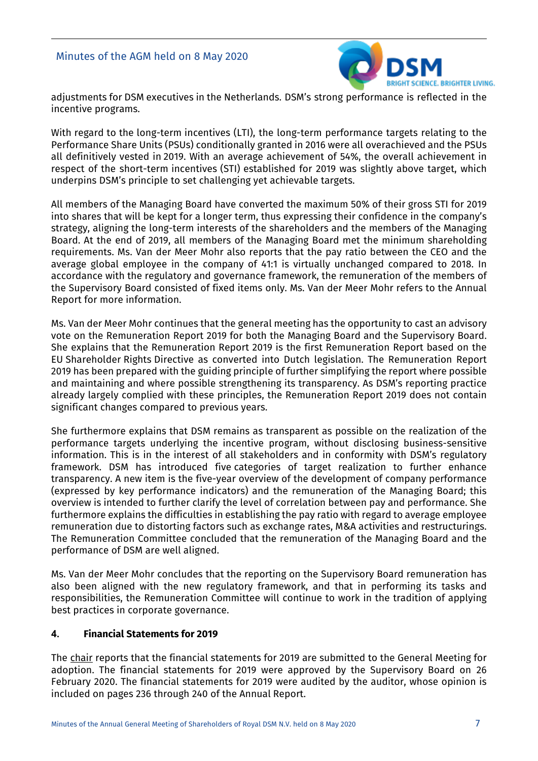

adjustments for DSM executives in the Netherlands. DSM's strong performance is reflected in the incentive programs.

With regard to the long-term incentives (LTI), the long-term performance targets relating to the Performance Share Units (PSUs) conditionally granted in 2016 were all overachieved and the PSUs all definitively vested in 2019. With an average achievement of 54%, the overall achievement in respect of the short-term incentives (STI) established for 2019 was slightly above target, which underpins DSM's principle to set challenging yet achievable targets.

All members of the Managing Board have converted the maximum 50% of their gross STI for 2019 into shares that will be kept for a longer term, thus expressing their confidence in the company's strategy, aligning the long-term interests of the shareholders and the members of the Managing Board. At the end of 2019, all members of the Managing Board met the minimum shareholding requirements. Ms. Van der Meer Mohr also reports that the pay ratio between the CEO and the average global employee in the company of 41:1 is virtually unchanged compared to 2018. In accordance with the regulatory and governance framework, the remuneration of the members of the Supervisory Board consisted of fixed items only. Ms. Van der Meer Mohr refers to the Annual Report for more information.

Ms. Van der Meer Mohr continues that the general meeting has the opportunity to cast an advisory vote on the Remuneration Report 2019 for both the Managing Board and the Supervisory Board. She explains that the Remuneration Report 2019 is the first Remuneration Report based on the EU Shareholder Rights Directive as converted into Dutch legislation. The Remuneration Report 2019 has been prepared with the guiding principle of further simplifying the report where possible and maintaining and where possible strengthening its transparency. As DSM's reporting practice already largely complied with these principles, the Remuneration Report 2019 does not contain significant changes compared to previous years.

She furthermore explains that DSM remains as transparent as possible on the realization of the performance targets underlying the incentive program, without disclosing business-sensitive information. This is in the interest of all stakeholders and in conformity with DSM's regulatory framework. DSM has introduced five categories of target realization to further enhance transparency. A new item is the five-year overview of the development of company performance (expressed by key performance indicators) and the remuneration of the Managing Board; this overview is intended to further clarify the level of correlation between pay and performance. She furthermore explains the difficulties in establishing the pay ratio with regard to average employee remuneration due to distorting factors such as exchange rates, M&A activities and restructurings. The Remuneration Committee concluded that the remuneration of the Managing Board and the performance of DSM are well aligned.

Ms. Van der Meer Mohr concludes that the reporting on the Supervisory Board remuneration has also been aligned with the new regulatory framework, and that in performing its tasks and responsibilities, the Remuneration Committee will continue to work in the tradition of applying best practices in corporate governance.

# **4. Financial Statements for 2019**

The chair reports that the financial statements for 2019 are submitted to the General Meeting for adoption. The financial statements for 2019 were approved by the Supervisory Board on 26 February 2020. The financial statements for 2019 were audited by the auditor, whose opinion is included on pages 236 through 240 of the Annual Report.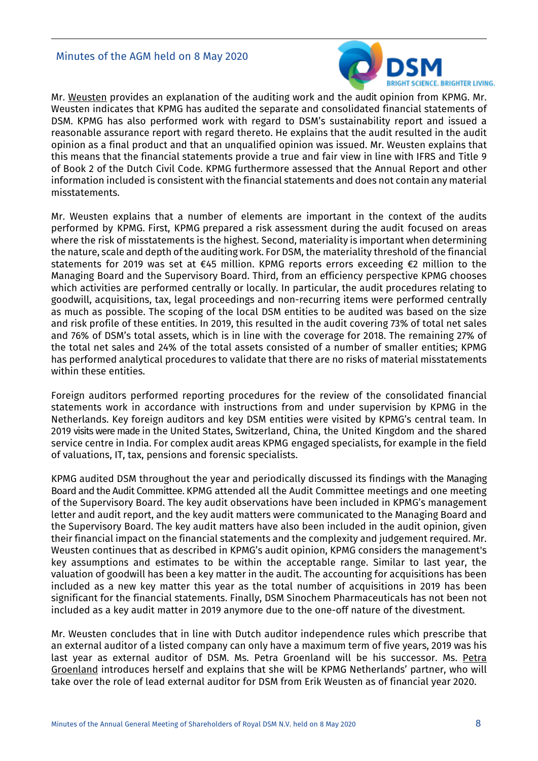#### Minutes of the AGM held on 8 May 2020



Mr. Weusten provides an explanation of the auditing work and the audit opinion from KPMG. Mr. Weusten indicates that KPMG has audited the separate and consolidated financial statements of DSM. KPMG has also performed work with regard to DSM's sustainability report and issued a reasonable assurance report with regard thereto. He explains that the audit resulted in the audit opinion as a final product and that an unqualified opinion was issued. Mr. Weusten explains that this means that the financial statements provide a true and fair view in line with IFRS and Title 9 of Book 2 of the Dutch Civil Code. KPMG furthermore assessed that the Annual Report and other information included is consistent with the financial statements and does not contain any material misstatements.

Mr. Weusten explains that a number of elements are important in the context of the audits performed by KPMG. First, KPMG prepared a risk assessment during the audit focused on areas where the risk of misstatements is the highest. Second, materiality is important when determining the nature, scale and depth of the auditing work. For DSM, the materiality threshold of the financial statements for 2019 was set at €45 million. KPMG reports errors exceeding €2 million to the Managing Board and the Supervisory Board. Third, from an efficiency perspective KPMG chooses which activities are performed centrally or locally. In particular, the audit procedures relating to goodwill, acquisitions, tax, legal proceedings and non-recurring items were performed centrally as much as possible. The scoping of the local DSM entities to be audited was based on the size and risk profile of these entities. In 2019, this resulted in the audit covering 73% of total net sales and 76% of DSM's total assets, which is in line with the coverage for 2018. The remaining 27% of the total net sales and 24% of the total assets consisted of a number of smaller entities; KPMG has performed analytical procedures to validate that there are no risks of material misstatements within these entities.

Foreign auditors performed reporting procedures for the review of the consolidated financial statements work in accordance with instructions from and under supervision by KPMG in the Netherlands. Key foreign auditors and key DSM entities were visited by KPMG's central team. In 2019 visits were made in the United States, Switzerland, China, the United Kingdom and the shared service centre in India. For complex audit areas KPMG engaged specialists, for example in the field of valuations, IT, tax, pensions and forensic specialists.

KPMG audited DSM throughout the year and periodically discussed its findings with the Managing Board and the Audit Committee. KPMG attended all the Audit Committee meetings and one meeting of the Supervisory Board. The key audit observations have been included in KPMG's management letter and audit report, and the key audit matters were communicated to the Managing Board and the Supervisory Board. The key audit matters have also been included in the audit opinion, given their financial impact on the financial statements and the complexity and judgement required. Mr. Weusten continues that as described in KPMG's audit opinion, KPMG considers the management's key assumptions and estimates to be within the acceptable range. Similar to last year, the valuation of goodwill has been a key matter in the audit. The accounting for acquisitions has been included as a new key matter this year as the total number of acquisitions in 2019 has been significant for the financial statements. Finally, DSM Sinochem Pharmaceuticals has not been not included as a key audit matter in 2019 anymore due to the one-off nature of the divestment.

Mr. Weusten concludes that in line with Dutch auditor independence rules which prescribe that an external auditor of a listed company can only have a maximum term of five years, 2019 was his last year as external auditor of DSM. Ms. Petra Groenland will be his successor. Ms. Petra Groenland introduces herself and explains that she will be KPMG Netherlands' partner, who will take over the role of lead external auditor for DSM from Erik Weusten as of financial year 2020.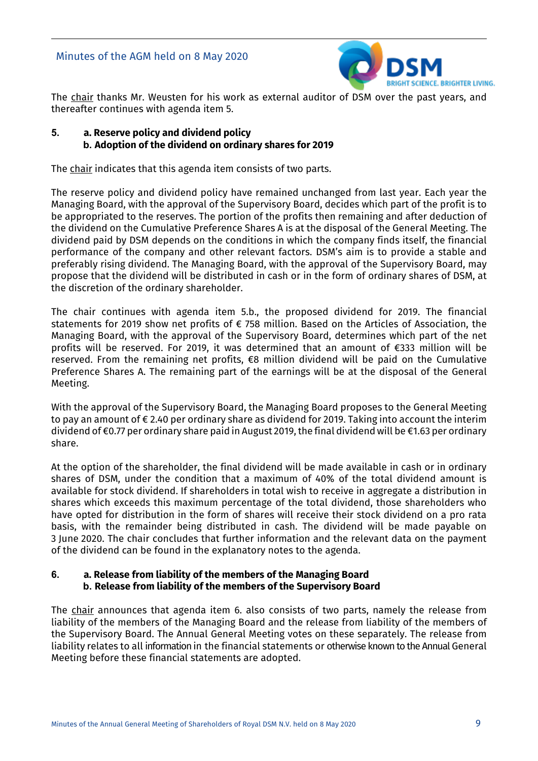

The chair thanks Mr. Weusten for his work as external auditor of DSM over the past years, and thereafter continues with agenda item 5.

## **5. a. Reserve policy and dividend policy b. Adoption of the dividend on ordinary shares for 2019**

The chair indicates that this agenda item consists of two parts.

The reserve policy and dividend policy have remained unchanged from last year. Each year the Managing Board, with the approval of the Supervisory Board, decides which part of the profit is to be appropriated to the reserves. The portion of the profits then remaining and after deduction of the dividend on the Cumulative Preference Shares A is at the disposal of the General Meeting. The dividend paid by DSM depends on the conditions in which the company finds itself, the financial performance of the company and other relevant factors. DSM's aim is to provide a stable and preferably rising dividend. The Managing Board, with the approval of the Supervisory Board, may propose that the dividend will be distributed in cash or in the form of ordinary shares of DSM, at the discretion of the ordinary shareholder.

The chair continues with agenda item 5.b., the proposed dividend for 2019. The financial statements for 2019 show net profits of € 758 million. Based on the Articles of Association, the Managing Board, with the approval of the Supervisory Board, determines which part of the net profits will be reserved. For 2019, it was determined that an amount of €333 million will be reserved. From the remaining net profits, €8 million dividend will be paid on the Cumulative Preference Shares A. The remaining part of the earnings will be at the disposal of the General Meeting.

With the approval of the Supervisory Board, the Managing Board proposes to the General Meeting to pay an amount of € 2.40 per ordinary share as dividend for 2019. Taking into account the interim dividend of €0.77 per ordinary share paid in August 2019,the final dividend will be €1.63 per ordinary share.

At the option of the shareholder, the final dividend will be made available in cash or in ordinary shares of DSM, under the condition that a maximum of 40% of the total dividend amount is available for stock dividend. If shareholders in total wish to receive in aggregate a distribution in shares which exceeds this maximum percentage of the total dividend, those shareholders who have opted for distribution in the form of shares will receive their stock dividend on a pro rata basis, with the remainder being distributed in cash. The dividend will be made payable on 3 June 2020. The chair concludes that further information and the relevant data on the payment of the dividend can be found in the explanatory notes to the agenda.

#### **6. a. Release from liability of the members of the Managing Board b. Release from liability of the members of the Supervisory Board**

The chair announces that agenda item 6. also consists of two parts, namely the release from liability of the members of the Managing Board and the release from liability of the members of the Supervisory Board. The Annual General Meeting votes on these separately. The release from liability relates to all information in the financial statements or otherwise known to the Annual General Meeting before these financial statements are adopted.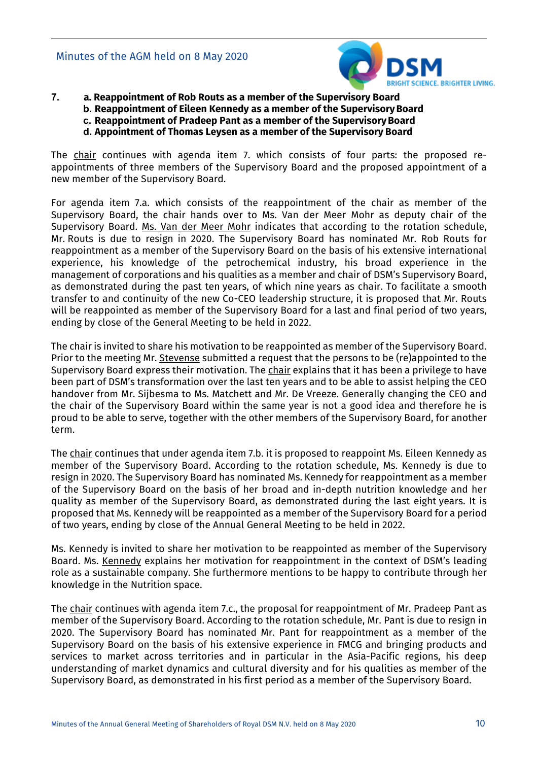

- **7. a. Reappointment of Rob Routs as a member of the Supervisory Board**
	- **b. Reappointment of Eileen Kennedy as a member of the SupervisoryBoard**
	- **c. Reappointment of Pradeep Pant as a member of the SupervisoryBoard**
		- **d. Appointment of Thomas Leysen as a member of the Supervisory Board**

The chair continues with agenda item 7. which consists of four parts: the proposed reappointments of three members of the Supervisory Board and the proposed appointment of a new member of the Supervisory Board.

For agenda item 7.a. which consists of the reappointment of the chair as member of the Supervisory Board, the chair hands over to Ms. Van der Meer Mohr as deputy chair of the Supervisory Board. Ms. Van der Meer Mohr indicates that according to the rotation schedule, Mr. Routs is due to resign in 2020. The Supervisory Board has nominated Mr. Rob Routs for reappointment as a member of the Supervisory Board on the basis of his extensive international experience, his knowledge of the petrochemical industry, his broad experience in the management of corporations and his qualities as a member and chair of DSM's Supervisory Board, as demonstrated during the past ten years, of which nine years as chair. To facilitate a smooth transfer to and continuity of the new Co-CEO leadership structure, it is proposed that Mr. Routs will be reappointed as member of the Supervisory Board for a last and final period of two years, ending by close of the General Meeting to be held in 2022.

The chair is invited to share his motivation to be reappointed as member of the Supervisory Board. Prior to the meeting Mr. Stevense submitted a request that the persons to be (re)appointed to the Supervisory Board express their motivation. The chair explains that it has been a privilege to have been part of DSM's transformation over the last ten years and to be able to assist helping the CEO handover from Mr. Sijbesma to Ms. Matchett and Mr. De Vreeze. Generally changing the CEO and the chair of the Supervisory Board within the same year is not a good idea and therefore he is proud to be able to serve, together with the other members of the Supervisory Board, for another term.

The chair continues that under agenda item 7.b. it is proposed to reappoint Ms. Eileen Kennedy as member of the Supervisory Board. According to the rotation schedule, Ms. Kennedy is due to resign in 2020. The Supervisory Board has nominated Ms. Kennedy for reappointment as a member of the Supervisory Board on the basis of her broad and in-depth nutrition knowledge and her quality as member of the Supervisory Board, as demonstrated during the last eight years. It is proposed that Ms. Kennedy will be reappointed as a member of the Supervisory Board for a period of two years, ending by close of the Annual General Meeting to be held in 2022.

Ms. Kennedy is invited to share her motivation to be reappointed as member of the Supervisory Board. Ms. Kennedy explains her motivation for reappointment in the context of DSM's leading role as a sustainable company. She furthermore mentions to be happy to contribute through her knowledge in the Nutrition space.

The chair continues with agenda item 7.c., the proposal for reappointment of Mr. Pradeep Pant as member of the Supervisory Board. According to the rotation schedule, Mr. Pant is due to resign in 2020. The Supervisory Board has nominated Mr. Pant for reappointment as a member of the Supervisory Board on the basis of his extensive experience in FMCG and bringing products and services to market across territories and in particular in the Asia-Pacific regions, his deep understanding of market dynamics and cultural diversity and for his qualities as member of the Supervisory Board, as demonstrated in his first period as a member of the Supervisory Board.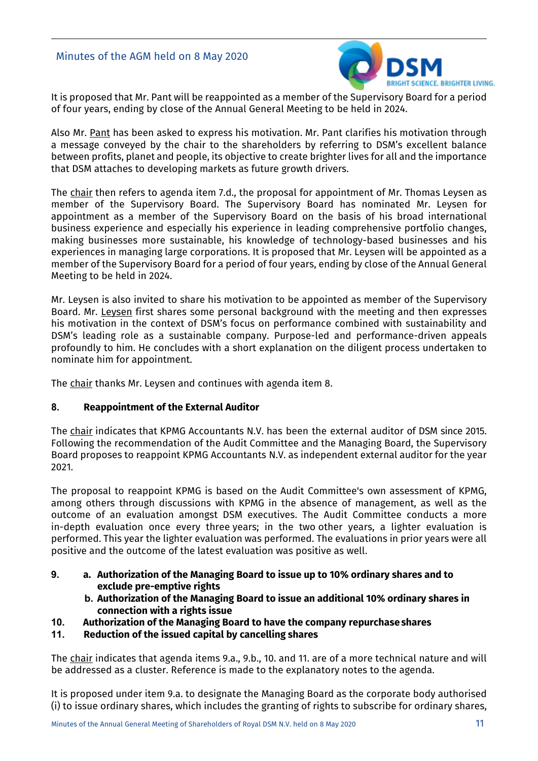

It is proposed that Mr. Pant will be reappointed as a member of the Supervisory Board for a period of four years, ending by close of the Annual General Meeting to be held in 2024.

Also Mr. Pant has been asked to express his motivation. Mr. Pant clarifies his motivation through a message conveyed by the chair to the shareholders by referring to DSM's excellent balance between profits, planet and people, its objective to create brighter lives for all and the importance that DSM attaches to developing markets as future growth drivers.

The chair then refers to agenda item 7.d., the proposal for appointment of Mr. Thomas Leysen as member of the Supervisory Board. The Supervisory Board has nominated Mr. Leysen for appointment as a member of the Supervisory Board on the basis of his broad international business experience and especially his experience in leading comprehensive portfolio changes, making businesses more sustainable, his knowledge of technology-based businesses and his experiences in managing large corporations. It is proposed that Mr. Leysen will be appointed as a member of the Supervisory Board for a period of four years, ending by close of the Annual General Meeting to be held in 2024.

Mr. Leysen is also invited to share his motivation to be appointed as member of the Supervisory Board. Mr. Leysen first shares some personal background with the meeting and then expresses his motivation in the context of DSM's focus on performance combined with sustainability and DSM's leading role as a sustainable company. Purpose-led and performance-driven appeals profoundly to him. He concludes with a short explanation on the diligent process undertaken to nominate him for appointment.

The chair thanks Mr. Leysen and continues with agenda item 8.

# **8. Reappointment of the External Auditor**

The chair indicates that KPMG Accountants N.V. has been the external auditor of DSM since 2015. Following the recommendation of the Audit Committee and the Managing Board, the Supervisory Board proposes to reappoint KPMG Accountants N.V. as independent external auditor for the year 2021.

The proposal to reappoint KPMG is based on the Audit Committee's own assessment of KPMG, among others through discussions with KPMG in the absence of management, as well as the outcome of an evaluation amongst DSM executives. The Audit Committee conducts a more in-depth evaluation once every three years; in the two other years, a lighter evaluation is performed. This year the lighter evaluation was performed. The evaluations in prior years were all positive and the outcome of the latest evaluation was positive as well.

- **9. a. Authorization of the Managing Board to issue up to 10% ordinary shares and to exclude pre-emptive rights**
	- **b. Authorization of the Managing Board to issue an additional 10% ordinary shares in connection with a rights issue**
- **10. Authorization of the Managing Board to have the company repurchaseshares**
- **11. Reduction of the issued capital by cancelling shares**

The chair indicates that agenda items 9.a., 9.b., 10. and 11. are of a more technical nature and will be addressed as a cluster. Reference is made to the explanatory notes to the agenda.

It is proposed under item 9.a. to designate the Managing Board as the corporate body authorised (i) to issue ordinary shares, which includes the granting of rights to subscribe for ordinary shares,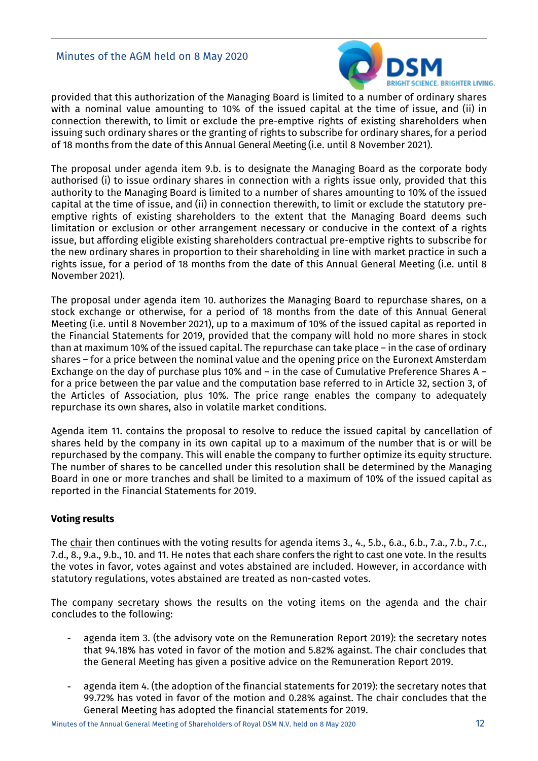## Minutes of the AGM held on 8 May 2020



provided that this authorization of the Managing Board is limited to a number of ordinary shares with a nominal value amounting to 10% of the issued capital at the time of issue, and (ii) in connection therewith, to limit or exclude the pre-emptive rights of existing shareholders when issuing such ordinary shares or the granting of rights to subscribe for ordinary shares, for a period of 18 months from the date of this Annual General Meeting (i.e. until 8 November 2021).

The proposal under agenda item 9.b. is to designate the Managing Board as the corporate body authorised (i) to issue ordinary shares in connection with a rights issue only, provided that this authority to the Managing Board is limited to a number of shares amounting to 10% of the issued capital at the time of issue, and (ii) in connection therewith, to limit or exclude the statutory preemptive rights of existing shareholders to the extent that the Managing Board deems such limitation or exclusion or other arrangement necessary or conducive in the context of a rights issue, but affording eligible existing shareholders contractual pre-emptive rights to subscribe for the new ordinary shares in proportion to their shareholding in line with market practice in such a rights issue, for a period of 18 months from the date of this Annual General Meeting (i.e. until 8 November 2021).

The proposal under agenda item 10. authorizes the Managing Board to repurchase shares, on a stock exchange or otherwise, for a period of 18 months from the date of this Annual General Meeting (i.e. until 8 November 2021), up to a maximum of 10% of the issued capital as reported in the Financial Statements for 2019, provided that the company will hold no more shares in stock than at maximum 10% of the issued capital. The repurchase can take place – in the case of ordinary shares – for a price between the nominal value and the opening price on the Euronext Amsterdam Exchange on the day of purchase plus 10% and – in the case of Cumulative Preference Shares A – for a price between the par value and the computation base referred to in Article 32, section 3, of the Articles of Association, plus 10%. The price range enables the company to adequately repurchase its own shares, also in volatile market conditions.

Agenda item 11. contains the proposal to resolve to reduce the issued capital by cancellation of shares held by the company in its own capital up to a maximum of the number that is or will be repurchased by the company. This will enable the company to further optimize its equity structure. The number of shares to be cancelled under this resolution shall be determined by the Managing Board in one or more tranches and shall be limited to a maximum of 10% of the issued capital as reported in the Financial Statements for 2019.

## **Voting results**

The chair then continues with the voting results for agenda items 3., 4., 5.b., 6.a., 6.b., 7.a., 7.b., 7.c., 7.d., 8., 9.a., 9.b., 10. and 11. He notes that each share confers the right to cast one vote. In the results the votes in favor, votes against and votes abstained are included. However, in accordance with statutory regulations, votes abstained are treated as non-casted votes.

The company secretary shows the results on the voting items on the agenda and the chair concludes to the following:

- agenda item 3. (the advisory vote on the Remuneration Report 2019): the secretary notes that 94.18% has voted in favor of the motion and 5.82% against. The chair concludes that the General Meeting has given a positive advice on the Remuneration Report 2019.
- agenda item 4. (the adoption of the financial statements for 2019): the secretary notes that 99.72% has voted in favor of the motion and 0.28% against. The chair concludes that the General Meeting has adopted the financial statements for 2019.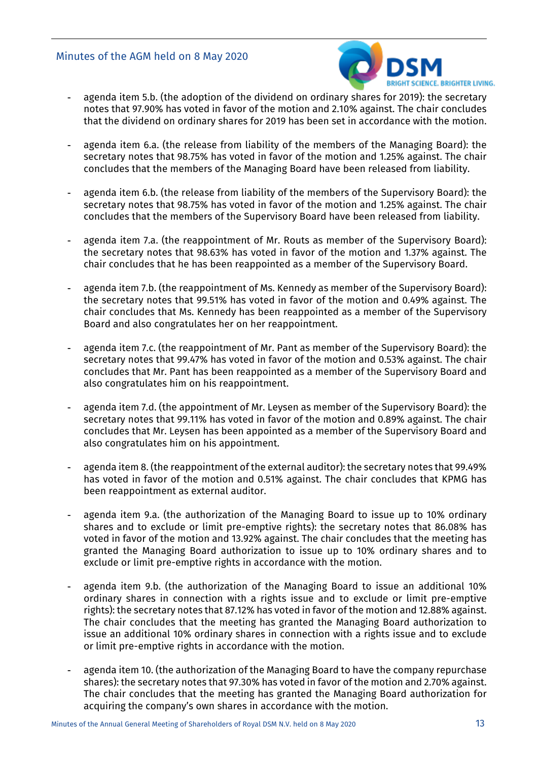## Minutes of the AGM held on 8 May 2020



- agenda item 5.b. (the adoption of the dividend on ordinary shares for 2019): the secretary notes that 97.90% has voted in favor of the motion and 2.10% against. The chair concludes that the dividend on ordinary shares for 2019 has been set in accordance with the motion.
- agenda item 6.a. (the release from liability of the members of the Managing Board): the secretary notes that 98.75% has voted in favor of the motion and 1.25% against. The chair concludes that the members of the Managing Board have been released from liability.
- agenda item 6.b. (the release from liability of the members of the Supervisory Board): the secretary notes that 98.75% has voted in favor of the motion and 1.25% against. The chair concludes that the members of the Supervisory Board have been released from liability.
- agenda item 7.a. (the reappointment of Mr. Routs as member of the Supervisory Board): the secretary notes that 98.63% has voted in favor of the motion and 1.37% against. The chair concludes that he has been reappointed as a member of the Supervisory Board.
- agenda item 7.b. (the reappointment of Ms. Kennedy as member of the Supervisory Board): the secretary notes that 99.51% has voted in favor of the motion and 0.49% against. The chair concludes that Ms. Kennedy has been reappointed as a member of the Supervisory Board and also congratulates her on her reappointment.
- agenda item 7.c. (the reappointment of Mr. Pant as member of the Supervisory Board): the secretary notes that 99.47% has voted in favor of the motion and 0.53% against. The chair concludes that Mr. Pant has been reappointed as a member of the Supervisory Board and also congratulates him on his reappointment.
- agenda item 7.d. (the appointment of Mr. Leysen as member of the Supervisory Board): the secretary notes that 99.11% has voted in favor of the motion and 0.89% against. The chair concludes that Mr. Leysen has been appointed as a member of the Supervisory Board and also congratulates him on his appointment.
- agenda item 8. (the reappointment of the external auditor): the secretary notes that 99.49% has voted in favor of the motion and 0.51% against. The chair concludes that KPMG has been reappointment as external auditor.
- agenda item 9.a. (the authorization of the Managing Board to issue up to 10% ordinary shares and to exclude or limit pre-emptive rights): the secretary notes that 86.08% has voted in favor of the motion and 13.92% against. The chair concludes that the meeting has granted the Managing Board authorization to issue up to 10% ordinary shares and to exclude or limit pre-emptive rights in accordance with the motion.
- agenda item 9.b. (the authorization of the Managing Board to issue an additional 10% ordinary shares in connection with a rights issue and to exclude or limit pre-emptive rights): the secretary notes that 87.12% has voted in favor of the motion and 12.88% against. The chair concludes that the meeting has granted the Managing Board authorization to issue an additional 10% ordinary shares in connection with a rights issue and to exclude or limit pre-emptive rights in accordance with the motion.
- agenda item 10. (the authorization of the Managing Board to have the company repurchase shares): the secretary notes that 97.30% has voted in favor of the motion and 2.70% against. The chair concludes that the meeting has granted the Managing Board authorization for acquiring the company's own shares in accordance with the motion.